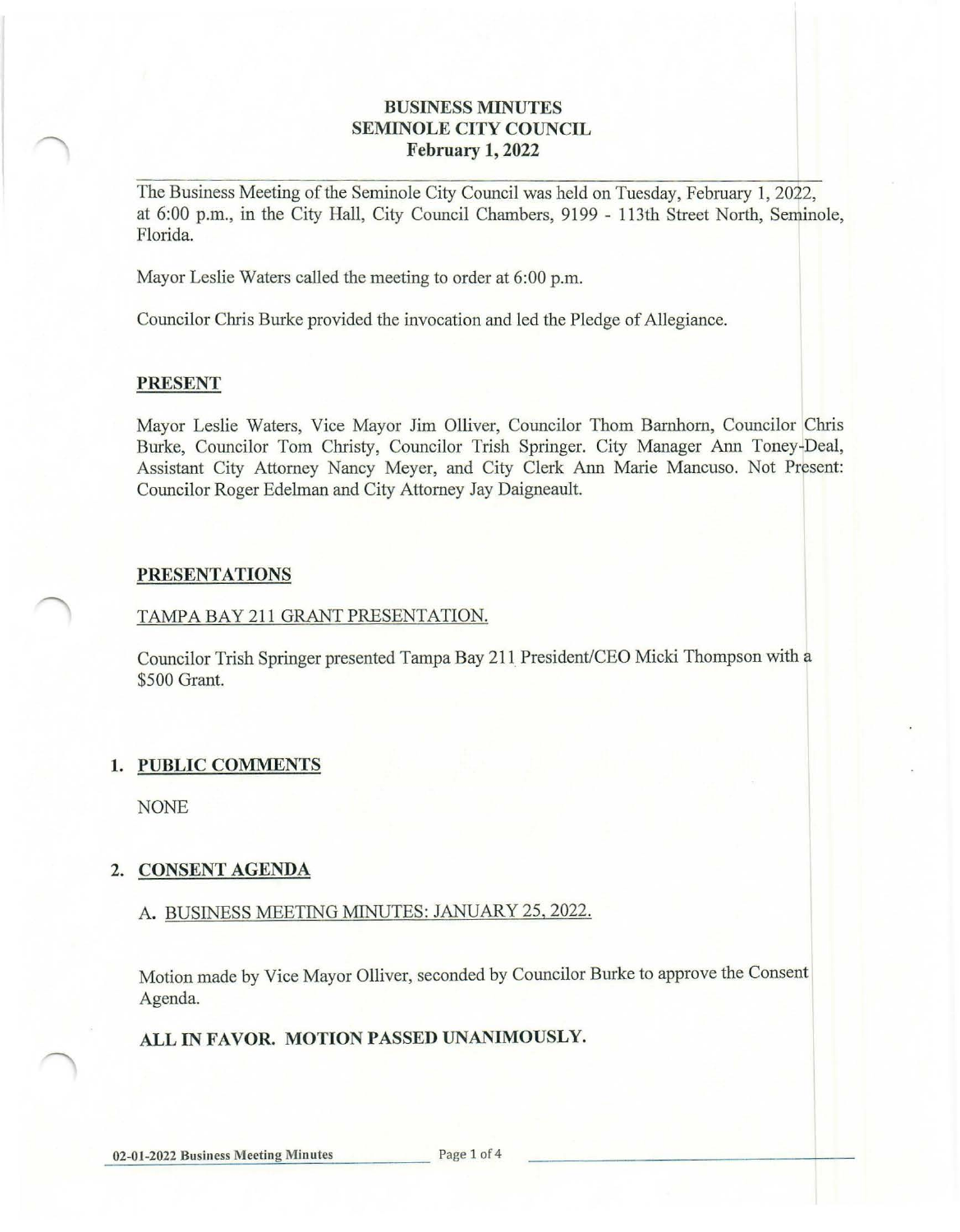#### **BUSINESS MINUTES SEMINOLE CITY COUNCIL February 1, 2022**

The Business Meeting of the Seminole City Council was held on Tuesday, February 1, 2022, at 6:00 p.m., in the City Hall, City Council Chambers, 9199 - 113th Street North, Seminole, Florida.

Mayor Leslie Waters called the meeting to order at 6:00 p.m.

Councilor Chris Burke provided the invocation and led the Pledge of Allegiance.

#### **PRESENT**

Mayor Leslie Waters, Vice Mayor Jim Olliver, Councilor Thom Barnhom, Councilor Chris Burke, Councilor Tom Christy, Councilor Trish Springer. City Manager Ann Toney-Deal, Assistant City Attorney Nancy Meyer, and City Clerk Ann Marie Mancuso. Not Present: Councilor Roger Edelman and City Attorney Jay Daigneault.

#### **PRESENTATIONS**

#### TAMPABAY211 GRANT PRESENTATION.

Councilor Trish Springer presented Tampa Bay 211\_President/CEO Micki Thompson with a \$500 Grant.

## **1. PUBLIC COMMENTS**

NONE

## **2. CONSENT AGENDA**

## A. BUSINESS MEETING MINUTES: JANUARY 25, 2022.

Motion made by Vice Mayor Olliver, seconded by Councilor Burke to approve the Consent Agenda.

## **ALL IN FAVOR. MOTION PASSED UNANIMOUSLY.**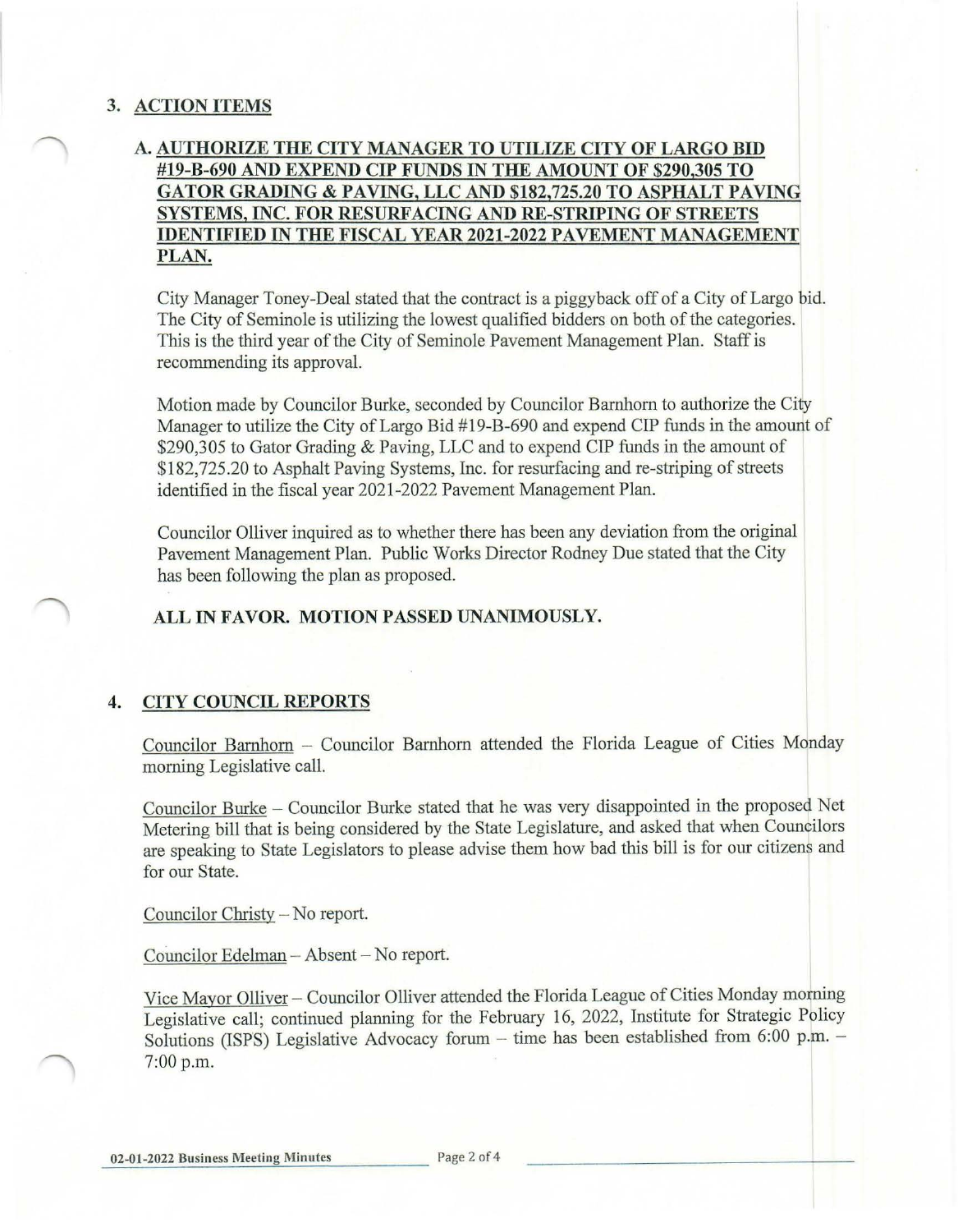## **3. ACTION ITEMS**

# **A. AUTHORIZE THE CITY MANAGER TO UTILIZE CITY OF LARGO BID #19-B-690 AND EXPEND CIP FUNDS IN THE AMOUNT OF \$290,305 TO GATOR GRADING & PAVING, LLC AND \$[182,725.20](https://182,725.20) TO ASPHALT PAVING SYSTEMS, INC. FOR RESURFACING AND RE-STRIPING OF STREETS IDENTIFIED IN THE FISCAL YEAR 2021-2022 PAVEMENT MANAGEMENT PLAN.**

City Manager Toney-Deal stated that the contract is a piggyback off of a City of Largo bid. The City of Seminole is utilizing the lowest qualified bidders on both of the categories. This is the third year of the City of Seminole Pavement Management Plan. Staff is recommending its approval.

Motion made by Councilor Burke, seconded by Councilor Barnhom to authorize the City Manager to utilize the City of Largo Bid #19-B-690 and expend CIP funds in the amount of \$290,305 to Gator Grading & Paving, LLC and to expend CIP funds in the amount of \$[182,725.20](https://182,725.20) to Asphalt Paving Systems, Inc. for resurfacing and re-striping of streets identified in the fiscal year 2021-2022 Pavement Management Plan.

Councilor Olliver inquired as to whether there has been any deviation from the original Pavement Management Plan. Public Works Director Rodney Due stated that the City has been following the plan as proposed.

#### **ALL IN FAVOR. MOTION PASSED UNANIMOUSLY.**

## **4. CITY COUNCIL REPORTS**

Councilor Barnhom - Councilor Barnhom attended the Florida League of Cities Monday morning Legislative call.

Councilor Burke - Councilor Burke stated that he was very disappointed in the proposed Net Metering bill that is being considered by the State Legislature, and asked that when Councilors are speaking to State Legislators to please advise them how bad this bill is for our citizens and for our State.

Councilor Christy-No report.

Councilor Edelman - Absent - No report.

Vice Mayor Olliver - Councilor Olliver attended the Florida League of Cities Monday morning Legislative call; continued planning for the February 16, 2022, Institute for Strategic Policy Solutions (ISPS) Legislative Advocacy forum - time has been established from  $6:00$  p.m. -7:00 p.m.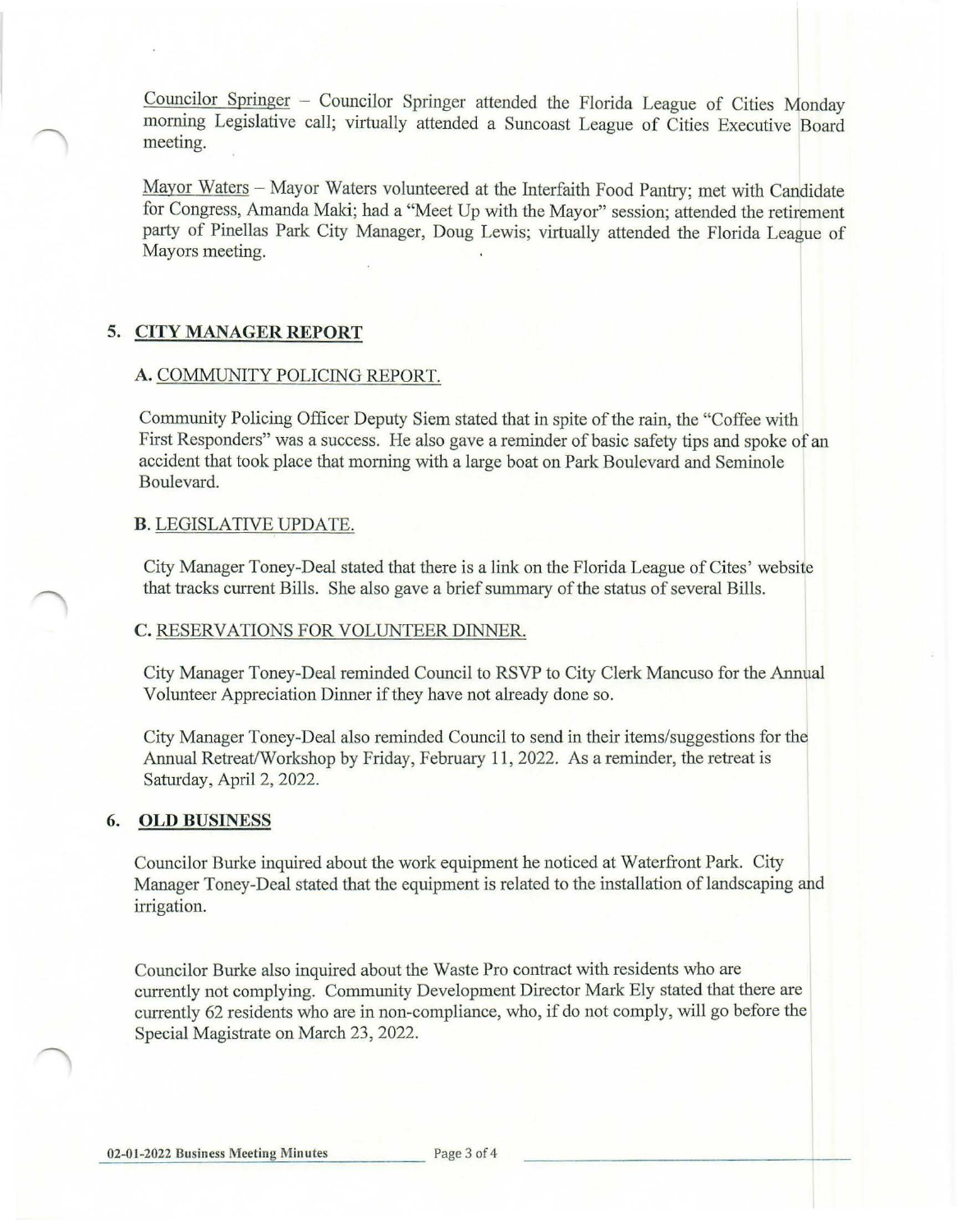Councilor Springer - Councilor Springer attended the Florida League of Cities Monday morning Legislative call; virtually attended a Suncoast League of Cities Executive Board meeting.

Mayor Waters - Mayor Waters volunteered at the Interfaith Food Pantry; met with Candidate for Congress, Amanda Maki; had a "Meet Up with the Mayor" session; attended the retirement party of Pinellas Park City Manager, Doug Lewis; virtually attended the Florida League of Mayors meeting.

## **5. CITY MANAGER REPORT**

#### **A.** COMMUNITY POLICING REPORT.

Community Policing Officer Deputy Siem stated that in spite of the rain, the "Coffee with First Responders" was a success. He also gave a reminder of basic safety tips and spoke of an accident that took place that morning with a large boat on Park Boulevard and Seminole Boulevard.

#### **B.** LEGISLATIVE UPDATE.

City Manager Toney-Deal stated that there is a link on the Florida League of Cites' website that tracks current Bills. She also gave a brief summary of the status of several Bills.

#### **C.** RESERVATIONS FOR VOLUNTEER DINNER.

City Manager Toney-Deal reminded Council to RSVP to City Clerk Mancuso for the Annual Volunteer Appreciation Dinner if they have not already done so.

City Manager Toney-Deal also reminded Council to send in their items/suggestions for the Annual Retreat/Workshop by Friday, February 11, 2022. As a reminder, the retreat is Saturday, April 2, 2022.

#### **6. OLD BUSINESS**

Councilor Burke inquired about the work equipment he noticed at Waterfront Park. City Manager Toney-Deal stated that the equipment is related to the installation of landscaping and irrigation.

Councilor Burke also inquired about the Waste Pro contract with residents who are currently not complying. Community Development Director Mark Ely stated that there are currently 62 residents who are in non-compliance, who, if do not comply, will go before the Special Magistrate on March 23, 2022.